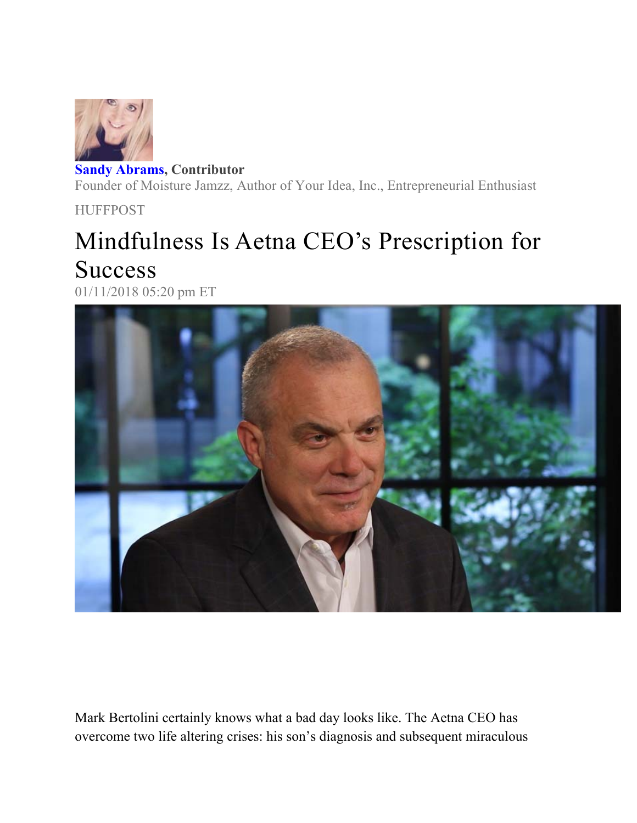

## **Sandy Abrams, Contributor**  Founder of Moisture Jamzz, Author of Your Idea, Inc., Entrepreneurial Enthusiast

**HUFFPOST** 

# Mindfulness Is Aetna CEO's Prescription for Success

01/11/2018 05:20 pm ET



Mark Bertolini certainly knows what a bad day looks like. The Aetna CEO has overcome two life altering crises: his son's diagnosis and subsequent miraculous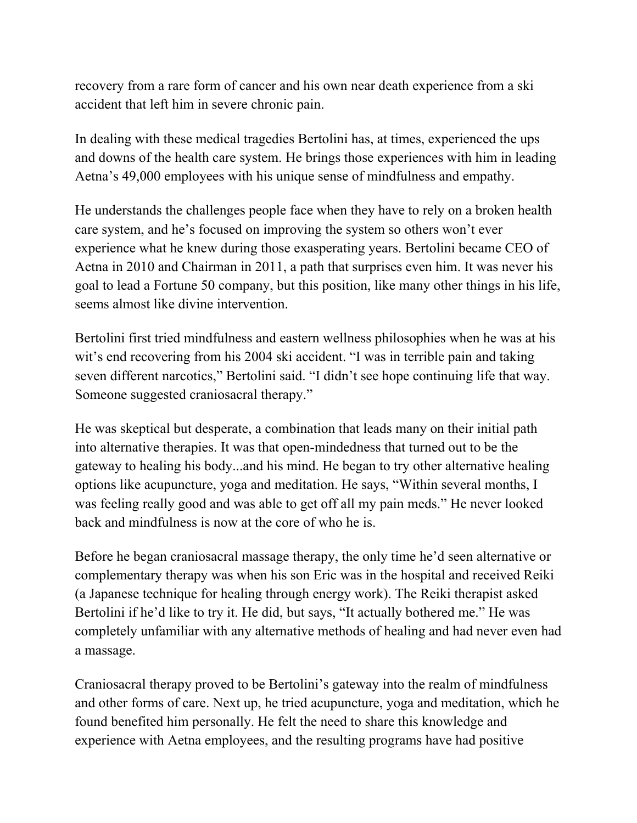recovery from a rare form of cancer and his own near death experience from a ski accident that left him in severe chronic pain.

In dealing with these medical tragedies Bertolini has, at times, experienced the ups and downs of the health care system. He brings those experiences with him in leading Aetna's 49,000 employees with his unique sense of mindfulness and empathy.

He understands the challenges people face when they have to rely on a broken health care system, and he's focused on improving the system so others won't ever experience what he knew during those exasperating years. Bertolini became CEO of Aetna in 2010 and Chairman in 2011, a path that surprises even him. It was never his goal to lead a Fortune 50 company, but this position, like many other things in his life, seems almost like divine intervention.

Bertolini first tried mindfulness and eastern wellness philosophies when he was at his wit's end recovering from his 2004 ski accident. "I was in terrible pain and taking seven different narcotics," Bertolini said. "I didn't see hope continuing life that way. Someone suggested craniosacral therapy."

He was skeptical but desperate, a combination that leads many on their initial path into alternative therapies. It was that open-mindedness that turned out to be the gateway to healing his body...and his mind. He began to try other alternative healing options like acupuncture, yoga and meditation. He says, "Within several months, I was feeling really good and was able to get off all my pain meds." He never looked back and mindfulness is now at the core of who he is.

Before he began craniosacral massage therapy, the only time he'd seen alternative or complementary therapy was when his son Eric was in the hospital and received Reiki (a Japanese technique for healing through energy work). The Reiki therapist asked Bertolini if he'd like to try it. He did, but says, "It actually bothered me." He was completely unfamiliar with any alternative methods of healing and had never even had a massage.

Craniosacral therapy proved to be Bertolini's gateway into the realm of mindfulness and other forms of care. Next up, he tried acupuncture, yoga and meditation, which he found benefited him personally. He felt the need to share this knowledge and experience with Aetna employees, and the resulting programs have had positive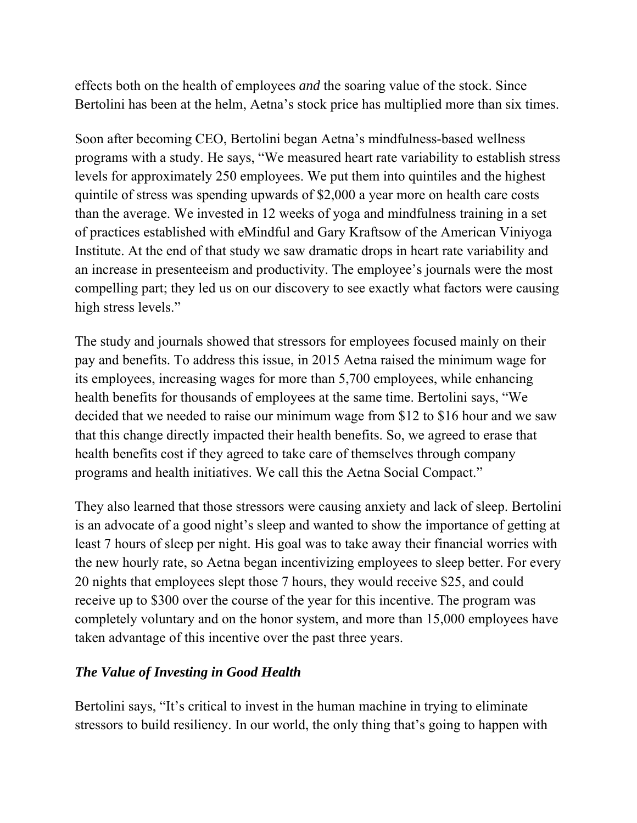effects both on the health of employees *and* the soaring value of the stock. Since Bertolini has been at the helm, Aetna's stock price has multiplied more than six times.

Soon after becoming CEO, Bertolini began Aetna's mindfulness-based wellness programs with a study. He says, "We measured heart rate variability to establish stress levels for approximately 250 employees. We put them into quintiles and the highest quintile of stress was spending upwards of \$2,000 a year more on health care costs than the average. We invested in 12 weeks of yoga and mindfulness training in a set of practices established with eMindful and Gary Kraftsow of the American Viniyoga Institute. At the end of that study we saw dramatic drops in heart rate variability and an increase in presenteeism and productivity. The employee's journals were the most compelling part; they led us on our discovery to see exactly what factors were causing high stress levels."

The study and journals showed that stressors for employees focused mainly on their pay and benefits. To address this issue, in 2015 Aetna raised the minimum wage for its employees, increasing wages for more than 5,700 employees, while enhancing health benefits for thousands of employees at the same time. Bertolini says, "We decided that we needed to raise our minimum wage from \$12 to \$16 hour and we saw that this change directly impacted their health benefits. So, we agreed to erase that health benefits cost if they agreed to take care of themselves through company programs and health initiatives. We call this the Aetna Social Compact."

They also learned that those stressors were causing anxiety and lack of sleep. Bertolini is an advocate of a good night's sleep and wanted to show the importance of getting at least 7 hours of sleep per night. His goal was to take away their financial worries with the new hourly rate, so Aetna began incentivizing employees to sleep better. For every 20 nights that employees slept those 7 hours, they would receive \$25, and could receive up to \$300 over the course of the year for this incentive. The program was completely voluntary and on the honor system, and more than 15,000 employees have taken advantage of this incentive over the past three years.

#### *The Value of Investing in Good Health*

Bertolini says, "It's critical to invest in the human machine in trying to eliminate stressors to build resiliency. In our world, the only thing that's going to happen with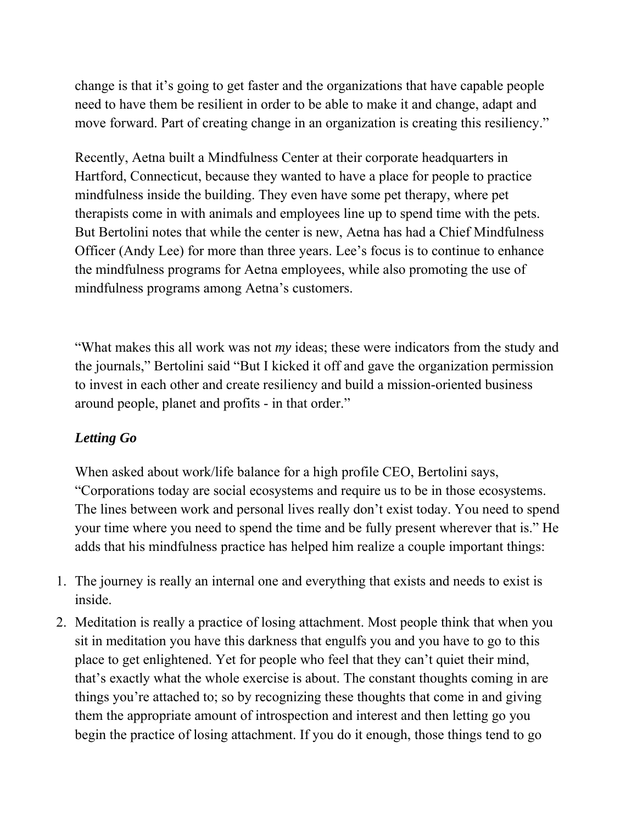change is that it's going to get faster and the organizations that have capable people need to have them be resilient in order to be able to make it and change, adapt and move forward. Part of creating change in an organization is creating this resiliency."

Recently, Aetna built a Mindfulness Center at their corporate headquarters in Hartford, Connecticut, because they wanted to have a place for people to practice mindfulness inside the building. They even have some pet therapy, where pet therapists come in with animals and employees line up to spend time with the pets. But Bertolini notes that while the center is new, Aetna has had a Chief Mindfulness Officer (Andy Lee) for more than three years. Lee's focus is to continue to enhance the mindfulness programs for Aetna employees, while also promoting the use of mindfulness programs among Aetna's customers.

"What makes this all work was not *my* ideas; these were indicators from the study and the journals," Bertolini said "But I kicked it off and gave the organization permission to invest in each other and create resiliency and build a mission-oriented business around people, planet and profits - in that order."

#### *Letting Go*

When asked about work/life balance for a high profile CEO, Bertolini says, "Corporations today are social ecosystems and require us to be in those ecosystems. The lines between work and personal lives really don't exist today. You need to spend your time where you need to spend the time and be fully present wherever that is." He adds that his mindfulness practice has helped him realize a couple important things:

- 1. The journey is really an internal one and everything that exists and needs to exist is inside.
- 2. Meditation is really a practice of losing attachment. Most people think that when you sit in meditation you have this darkness that engulfs you and you have to go to this place to get enlightened. Yet for people who feel that they can't quiet their mind, that's exactly what the whole exercise is about. The constant thoughts coming in are things you're attached to; so by recognizing these thoughts that come in and giving them the appropriate amount of introspection and interest and then letting go you begin the practice of losing attachment. If you do it enough, those things tend to go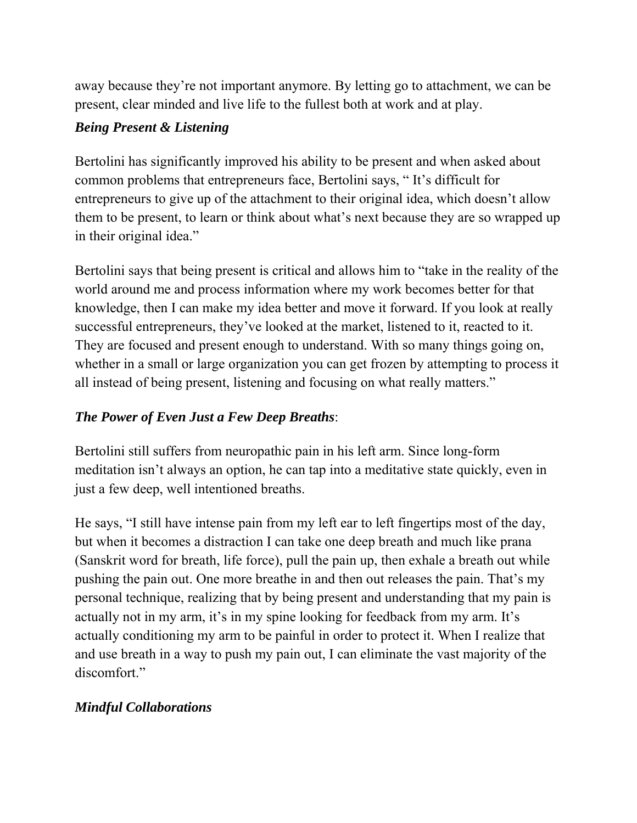away because they're not important anymore. By letting go to attachment, we can be present, clear minded and live life to the fullest both at work and at play.

### *Being Present & Listening*

Bertolini has significantly improved his ability to be present and when asked about common problems that entrepreneurs face, Bertolini says, " It's difficult for entrepreneurs to give up of the attachment to their original idea, which doesn't allow them to be present, to learn or think about what's next because they are so wrapped up in their original idea."

Bertolini says that being present is critical and allows him to "take in the reality of the world around me and process information where my work becomes better for that knowledge, then I can make my idea better and move it forward. If you look at really successful entrepreneurs, they've looked at the market, listened to it, reacted to it. They are focused and present enough to understand. With so many things going on, whether in a small or large organization you can get frozen by attempting to process it all instead of being present, listening and focusing on what really matters."

## *The Power of Even Just a Few Deep Breaths*:

Bertolini still suffers from neuropathic pain in his left arm. Since long-form meditation isn't always an option, he can tap into a meditative state quickly, even in just a few deep, well intentioned breaths.

He says, "I still have intense pain from my left ear to left fingertips most of the day, but when it becomes a distraction I can take one deep breath and much like prana (Sanskrit word for breath, life force), pull the pain up, then exhale a breath out while pushing the pain out. One more breathe in and then out releases the pain. That's my personal technique, realizing that by being present and understanding that my pain is actually not in my arm, it's in my spine looking for feedback from my arm. It's actually conditioning my arm to be painful in order to protect it. When I realize that and use breath in a way to push my pain out, I can eliminate the vast majority of the discomfort."

## *Mindful Collaborations*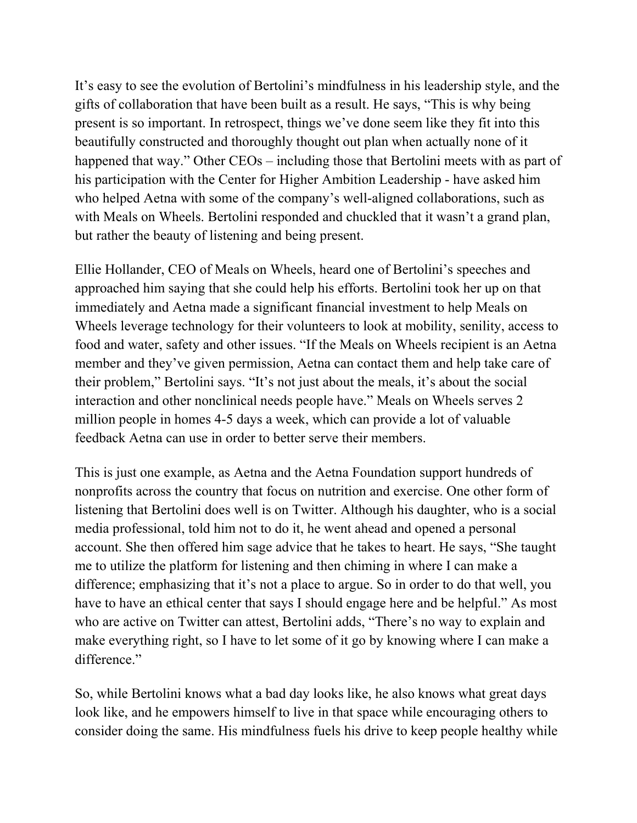It's easy to see the evolution of Bertolini's mindfulness in his leadership style, and the gifts of collaboration that have been built as a result. He says, "This is why being present is so important. In retrospect, things we've done seem like they fit into this beautifully constructed and thoroughly thought out plan when actually none of it happened that way." Other CEOs – including those that Bertolini meets with as part of his participation with the Center for Higher Ambition Leadership - have asked him who helped Aetna with some of the company's well-aligned collaborations, such as with Meals on Wheels. Bertolini responded and chuckled that it wasn't a grand plan, but rather the beauty of listening and being present.

Ellie Hollander, CEO of Meals on Wheels, heard one of Bertolini's speeches and approached him saying that she could help his efforts. Bertolini took her up on that immediately and Aetna made a significant financial investment to help Meals on Wheels leverage technology for their volunteers to look at mobility, senility, access to food and water, safety and other issues. "If the Meals on Wheels recipient is an Aetna member and they've given permission, Aetna can contact them and help take care of their problem," Bertolini says. "It's not just about the meals, it's about the social interaction and other nonclinical needs people have." Meals on Wheels serves 2 million people in homes 4-5 days a week, which can provide a lot of valuable feedback Aetna can use in order to better serve their members.

This is just one example, as Aetna and the Aetna Foundation support hundreds of nonprofits across the country that focus on nutrition and exercise. One other form of listening that Bertolini does well is on Twitter. Although his daughter, who is a social media professional, told him not to do it, he went ahead and opened a personal account. She then offered him sage advice that he takes to heart. He says, "She taught me to utilize the platform for listening and then chiming in where I can make a difference; emphasizing that it's not a place to argue. So in order to do that well, you have to have an ethical center that says I should engage here and be helpful." As most who are active on Twitter can attest, Bertolini adds, "There's no way to explain and make everything right, so I have to let some of it go by knowing where I can make a difference."

So, while Bertolini knows what a bad day looks like, he also knows what great days look like, and he empowers himself to live in that space while encouraging others to consider doing the same. His mindfulness fuels his drive to keep people healthy while